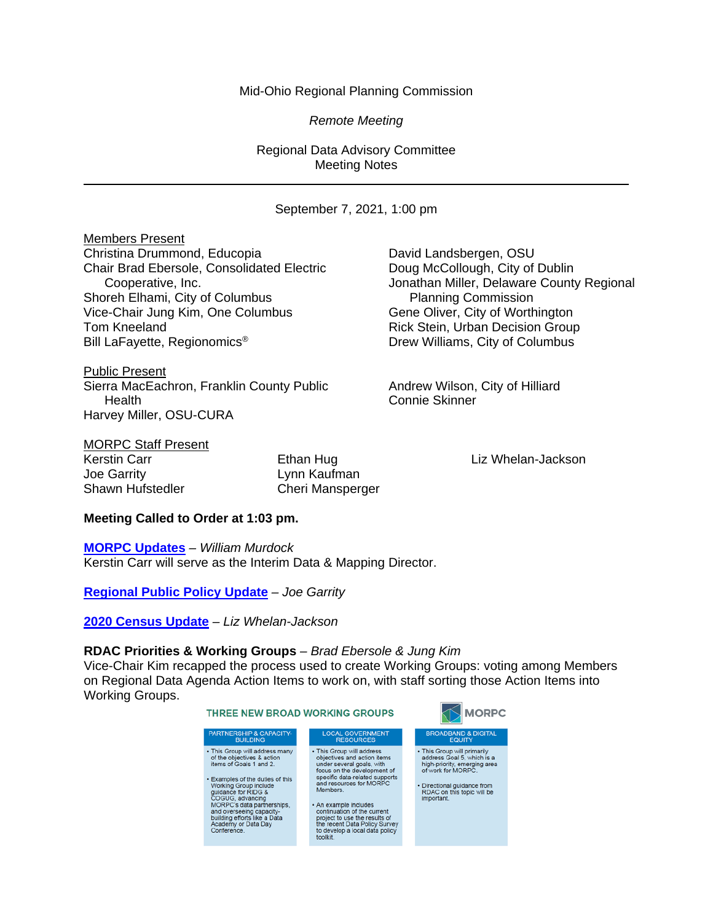## Mid-Ohio Regional Planning Commission

*Remote Meeting*

Regional Data Advisory Committee Meeting Notes

September 7, 2021, 1:00 pm

Members Present Christina Drummond, Educopia Christina David Landsbergen, OSU Chair Brad Ebersole, Consolidated Electric Doug McCollough, City of Dublin Shoreh Elhami, City of Columbus **Planning Commission** Vice-Chair Jung Kim, One Columbus Gene Oliver, City of Worthington Tom Kneeland **Rick Stein, Urban Decision Group** Bill LaFayette, Regionomics® Drew Williams, City of Columbus

Public Present Sierra MacEachron, Franklin County Public **Andrew Wilson, City of Hilliard** Health Connie Skinner Harvey Miller, OSU-CURA

Cooperative, Inc. Jonathan Miller, Delaware County Regional

MORPC Staff Present

Joe Garrity Lynn Kaufman

Kerstin Carr **Ethan Hug Liz Whelan-Jackson** Ethan Hug Liz Whelan-Jackson Shawn Hufstedler Cheri Mansperger

## **Meeting Called to Order at 1:03 pm.**

**[MORPC Updates](https://morpc1-my.sharepoint.com/:v:/g/personal/lkaufman_morpc_org/EaeVYDFXqZJFpB0dPXdshIcBtHyry9YifU9Nqkws8QJYEQ?e=P3647u)** *– William Murdock* Kerstin Carr will serve as the Interim Data & Mapping Director.

**[Regional Public Policy Update](https://morpc1-my.sharepoint.com/:v:/g/personal/lkaufman_morpc_org/ETYoQtvl029Kgq4W9KG-1_kBZRxWUKoj1JPjJdTrvPyA0Q?e=eqo5nx)** *– Joe Garrity*

**[2020 Census Update](https://morpc1-my.sharepoint.com/:v:/g/personal/lkaufman_morpc_org/ETjiq6chG25IqHkA-o2ZbscB0WfK1f_nq3OTO79OEpvFzQ?e=9fNmEP)** *– Liz Whelan-Jackson*

## **RDAC Priorities & Working Groups** *– Brad Ebersole & Jung Kim*

Vice-Chair Kim recapped the process used to create Working Groups: voting among Members on Regional Data Agenda Action Items to work on, with staff sorting those Action Items into Working Groups.